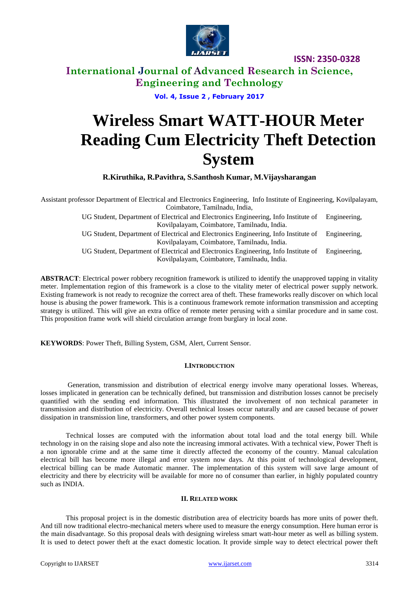

**International Journal of Advanced Research in Science, Engineering and Technology**

### **Vol. 4, Issue 2 , February 2017**

# **Wireless Smart WATT-HOUR Meter Reading Cum Electricity Theft Detection System**

**R.Kiruthika, R.Pavithra, S.Santhosh Kumar, M.Vijaysharangan**

Assistant professor Department of Electrical and Electronics Engineering, Info Institute of Engineering, Kovilpalayam, Coimbatore, Tamilnadu, India, UG Student, Department of Electrical and Electronics Engineering, Info Institute of Engineering, Kovilpalayam, Coimbatore, Tamilnadu, India. UG Student, Department of Electrical and Electronics Engineering, Info Institute of Engineering, Kovilpalayam, Coimbatore, Tamilnadu, India. UG Student, Department of Electrical and Electronics Engineering, Info Institute of Engineering, Kovilpalayam, Coimbatore, Tamilnadu, India.

**ABSTRACT**: Electrical power robbery recognition framework is utilized to identify the unapproved tapping in vitality meter. Implementation region of this framework is a close to the vitality meter of electrical power supply network. Existing framework is not ready to recognize the correct area of theft. These frameworks really discover on which local house is abusing the power framework. This is a continuous framework remote information transmission and accepting strategy is utilized. This will give an extra office of remote meter perusing with a similar procedure and in same cost. This proposition frame work will shield circulation arrange from burglary in local zone.

**KEYWORDS**: Power Theft, Billing System, GSM, Alert, Current Sensor.

#### **I.INTRODUCTION**

Generation, transmission and distribution of electrical energy involve many operational losses. Whereas, losses implicated in generation can be technically defined, but transmission and distribution losses cannot be precisely quantified with the sending end information. This illustrated the involvement of non technical parameter in transmission and distribution of electricity. Overall technical losses occur naturally and are caused because of power dissipation in transmission line, transformers, and other power system components.

Technical losses are computed with the information about total load and the total energy bill. While technology in on the raising slope and also note the increasing immoral activates. With a technical view, Power Theft is a non ignorable crime and at the same time it directly affected the economy of the country. Manual calculation electrical bill has become more illegal and error system now days. At this point of technological development, electrical billing can be made Automatic manner. The implementation of this system will save large amount of electricity and there by electricity will be available for more no of consumer than earlier, in highly populated country such as INDIA.

### **II. RELATED WORK**

This proposal project is in the domestic distribution area of electricity boards has more units of power theft. And till now traditional electro-mechanical meters where used to measure the energy consumption. Here human error is the main disadvantage. So this proposal deals with designing wireless smart watt-hour meter as well as billing system. It is used to detect power theft at the exact domestic location. It provide simple way to detect electrical power theft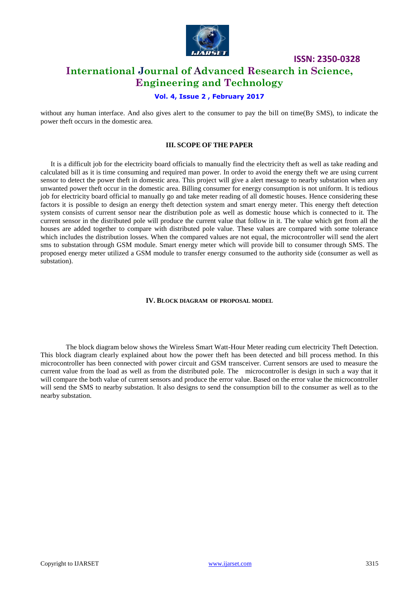

# **International Journal of Advanced Research in Science, Engineering and Technology**

## **Vol. 4, Issue 2 , February 2017**

without any human interface. And also gives alert to the consumer to pay the bill on time(By SMS), to indicate the power theft occurs in the domestic area.

## **III. SCOPE OF THE PAPER**

It is a difficult job for the electricity board officials to manually find the electricity theft as well as take reading and calculated bill as it is time consuming and required man power. In order to avoid the energy theft we are using current sensor to detect the power theft in domestic area. This project will give a alert message to nearby substation when any unwanted power theft occur in the domestic area. Billing consumer for energy consumption is not uniform. It is tedious job for electricity board official to manually go and take meter reading of all domestic houses. Hence considering these factors it is possible to design an energy theft detection system and smart energy meter. This energy theft detection system consists of current sensor near the distribution pole as well as domestic house which is connected to it. The current sensor in the distributed pole will produce the current value that follow in it. The value which get from all the houses are added together to compare with distributed pole value. These values are compared with some tolerance which includes the distribution losses. When the compared values are not equal, the microcontroller will send the alert sms to substation through GSM module. Smart energy meter which will provide bill to consumer through SMS. The proposed energy meter utilized a GSM module to transfer energy consumed to the authority side (consumer as well as substation).

#### **IV. BLOCK DIAGRAM OF PROPOSAL MODEL**

The block diagram below shows the Wireless Smart Watt-Hour Meter reading cum electricity Theft Detection. This block diagram clearly explained about how the power theft has been detected and bill process method. In this microcontroller has been connected with power circuit and GSM transceiver. Current sensors are used to measure the current value from the load as well as from the distributed pole. The microcontroller is design in such a way that it will compare the both value of current sensors and produce the error value. Based on the error value the microcontroller will send the SMS to nearby substation. It also designs to send the consumption bill to the consumer as well as to the nearby substation.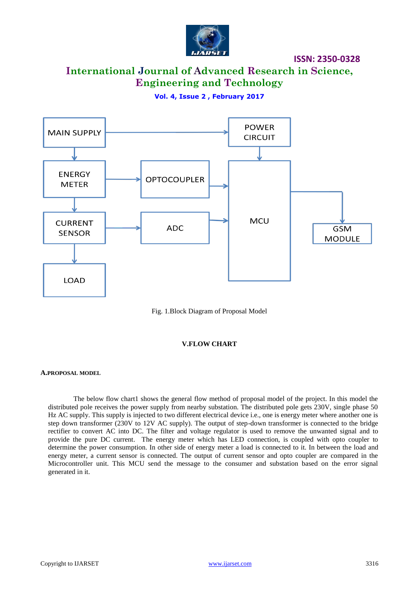

# **International Journal of Advanced Research in Science, Engineering and Technology**

**Vol. 4, Issue 2 , February 2017**



Fig. 1.Block Diagram of Proposal Model

### **V.FLOW CHART**

#### **A.PROPOSAL MODEL**

The below flow chart1 shows the general flow method of proposal model of the project. In this model the distributed pole receives the power supply from nearby substation. The distributed pole gets 230V, single phase 50 Hz AC supply. This supply is injected to two different electrical device i.e., one is energy meter where another one is step down transformer (230V to 12V AC supply). The output of step-down transformer is connected to the bridge rectifier to convert AC into DC. The filter and voltage regulator is used to remove the unwanted signal and to provide the pure DC current. The energy meter which has LED connection, is coupled with opto coupler to determine the power consumption. In other side of energy meter a load is connected to it. In between the load and energy meter, a current sensor is connected. The output of current sensor and opto coupler are compared in the Microcontroller unit. This MCU send the message to the consumer and substation based on the error signal generated in it.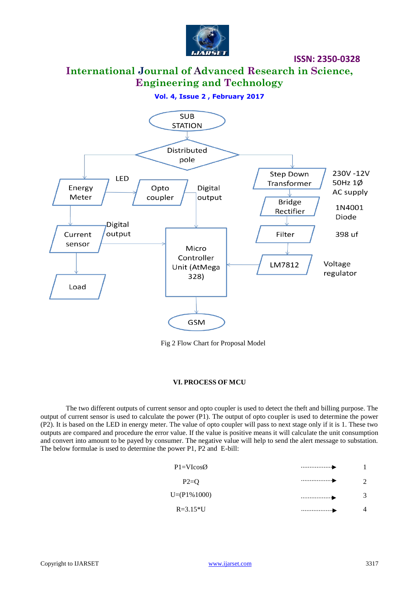

# **International Journal of Advanced Research in Science, Engineering and Technology**

**Vol. 4, Issue 2 , February 2017**



Fig 2 Flow Chart for Proposal Model

### **VI. PROCESS OF MCU**

The two different outputs of current sensor and opto coupler is used to detect the theft and billing purpose. The output of current sensor is used to calculate the power  $(P1)$ . The output of opto coupler is used to determine the power (P2). It is based on the LED in energy meter. The value of opto coupler will pass to next stage only if it is 1. These two outputs are compared and procedure the error value. If the value is positive means it will calculate the unit consumption and convert into amount to be payed by consumer. The negative value will help to send the alert message to substation. The below formulae is used to determine the power P1, P2 and E-bill:

| $P1 = VIcos\emptyset$ |  |
|-----------------------|--|
| $P2=Q$                |  |
| $U=(P1\%1000)$        |  |
| $R = 3.15*U$          |  |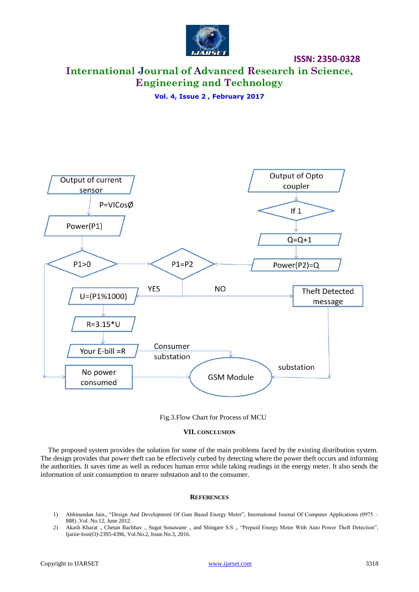

# **International Journal of Advanced Research in Science, Engineering and Technology**

**Vol. 4, Issue 2 , February 2017**



Fig.3.Flow Chart for Process of MCU

#### **VII. CONCLUSION**

The proposed system provides the solution for some of the main problems faced by the existing distribution system. The design provides that power theft can be effectively curbed by detecting where the power theft occurs and informing the authorities. It saves time as well as reduces human error while taking readings in the energy meter. It also sends the information of unit consumption to nearer substation and to the consumer.

#### **REFERENCES**

- 1) Abhinandan Jain., "Design And Development Of Gsm Based Energy Meter", International Journal Of Computer Applications (0975 888) ,Vol. No.12, June 2012.
- 2) Akash Kharat ., Chetan Bachhav ., Sugat Sonawane ., and Shingare S.S ., "Prepaid Energy Meter With Auto Power Theft Detection", Ijariie-Issn(O)-2395-4396, Vol.No.2, Issue.No.3, 2016.